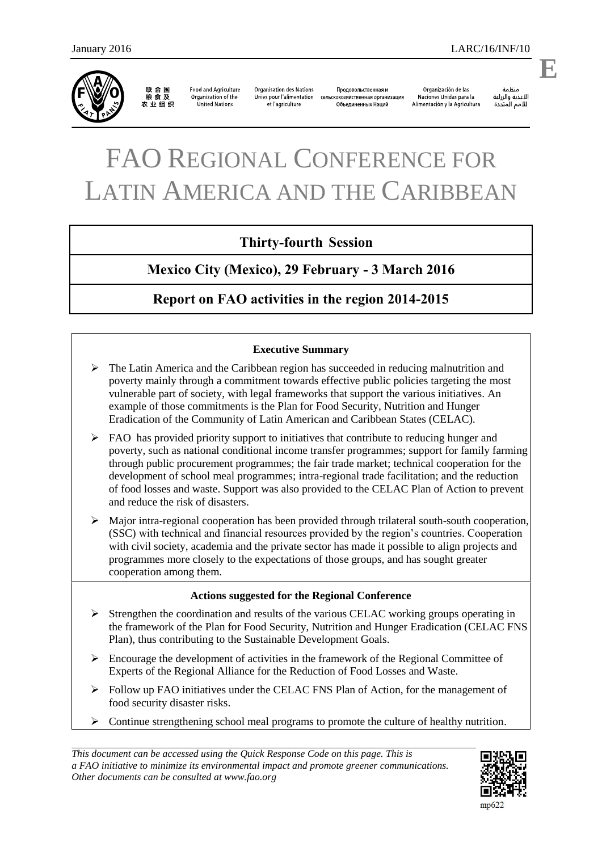

联合国<br>粮食及 农业组织

**Food and Agriculture** Organization of the United Nations

**Organisation des Nations** Продовольственная и Unies pour l'alimentation сельскохозяйственная организация et l'agriculture Объединенных Наций

Organización de las Naciones Unidas para la Alimentación y la Agricultura

änhin الأغذية والزراعة للأمم المتحدة

# FAO REGIONAL CONFERENCE FOR LATIN AMERICA AND THE CARIBBEAN

# **Thirty-fourth Session**

**Mexico City (Mexico), 29 February - 3 March 2016** 

**Report on FAO activities in the region 2014-2015** 

#### **Executive Summary**

- $\triangleright$  The Latin America and the Caribbean region has succeeded in reducing malnutrition and poverty mainly through a commitment towards effective public policies targeting the most vulnerable part of society, with legal frameworks that support the various initiatives. An example of those commitments is the Plan for Food Security, Nutrition and Hunger Eradication of the Community of Latin American and Caribbean States (CELAC).
- $\triangleright$  FAO has provided priority support to initiatives that contribute to reducing hunger and poverty, such as national conditional income transfer programmes; support for family farming through public procurement programmes; the fair trade market; technical cooperation for the development of school meal programmes; intra-regional trade facilitation; and the reduction of food losses and waste. Support was also provided to the CELAC Plan of Action to prevent and reduce the risk of disasters.
- $\triangleright$  Major intra-regional cooperation has been provided through trilateral south-south cooperation, (SSC) with technical and financial resources provided by the region's countries. Cooperation with civil society, academia and the private sector has made it possible to align projects and programmes more closely to the expectations of those groups, and has sought greater cooperation among them.

#### **Actions suggested for the Regional Conference**

- $\triangleright$  Strengthen the coordination and results of the various CELAC working groups operating in the framework of the Plan for Food Security, Nutrition and Hunger Eradication (CELAC FNS Plan), thus contributing to the Sustainable Development Goals.
- $\triangleright$  Encourage the development of activities in the framework of the Regional Committee of Experts of the Regional Alliance for the Reduction of Food Losses and Waste.
- Follow up FAO initiatives under the CELAC FNS Plan of Action, for the management of food security disaster risks.
- $\triangleright$  Continue strengthening school meal programs to promote the culture of healthy nutrition.

*This document can be accessed using the Quick Response Code on this page. This is a FAO initiative to minimize its environmental impact and promote greener communications. Other documents can be consulted at www.fao.org*



**E**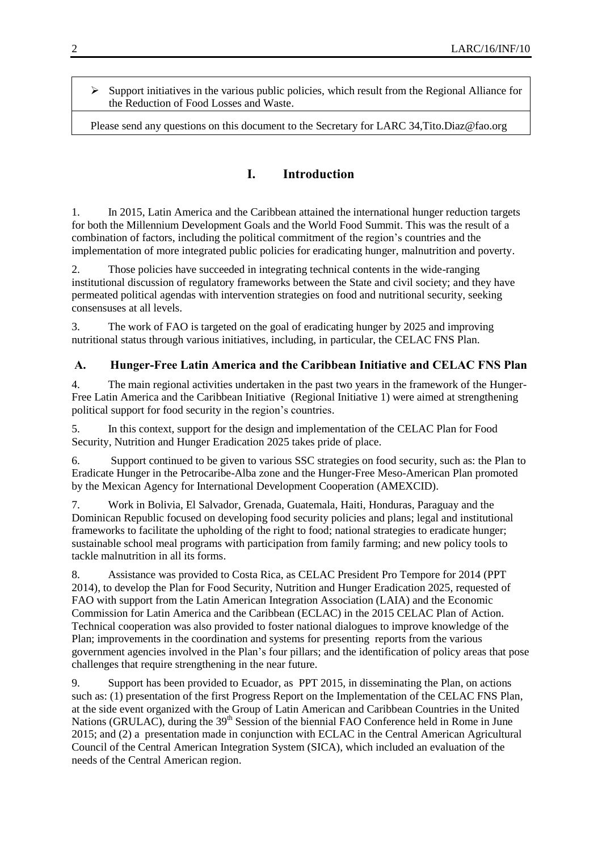$\triangleright$  Support initiatives in the various public policies, which result from the Regional Alliance for the Reduction of Food Losses and Waste.

Please send any questions on this document to the Secretary for LARC 34[,Tito.Diaz@fao.org](mailto:Tito.Diaz@fao.org)

# **I. Introduction**

1. In 2015, Latin America and the Caribbean attained the international hunger reduction targets for both the Millennium Development Goals and the World Food Summit. This was the result of a combination of factors, including the political commitment of the region's countries and the implementation of more integrated public policies for eradicating hunger, malnutrition and poverty.

2. Those policies have succeeded in integrating technical contents in the wide-ranging institutional discussion of regulatory frameworks between the State and civil society; and they have permeated political agendas with intervention strategies on food and nutritional security, seeking consensuses at all levels.

3. The work of FAO is targeted on the goal of eradicating hunger by 2025 and improving nutritional status through various initiatives, including, in particular, the CELAC FNS Plan.

### **A. Hunger-Free Latin America and the Caribbean Initiative and CELAC FNS Plan**

4. The main regional activities undertaken in the past two years in the framework of the Hunger-Free Latin America and the Caribbean Initiative (Regional Initiative 1) were aimed at strengthening political support for food security in the region's countries.

5. In this context, support for the design and implementation of the CELAC Plan for Food Security, Nutrition and Hunger Eradication 2025 takes pride of place.

6. Support continued to be given to various SSC strategies on food security, such as: the Plan to Eradicate Hunger in the Petrocaribe-Alba zone and the Hunger-Free Meso-American Plan promoted by the Mexican Agency for International Development Cooperation (AMEXCID).

7. Work in Bolivia, El Salvador, Grenada, Guatemala, Haiti, Honduras, Paraguay and the Dominican Republic focused on developing food security policies and plans; legal and institutional frameworks to facilitate the upholding of the right to food; national strategies to eradicate hunger; sustainable school meal programs with participation from family farming; and new policy tools to tackle malnutrition in all its forms.

8. Assistance was provided to Costa Rica, as CELAC President Pro Tempore for 2014 (PPT 2014), to develop the Plan for Food Security, Nutrition and Hunger Eradication 2025, requested of FAO with support from the Latin American Integration Association (LAIA) and the Economic Commission for Latin America and the Caribbean (ECLAC) in the 2015 CELAC Plan of Action. Technical cooperation was also provided to foster national dialogues to improve knowledge of the Plan; improvements in the coordination and systems for presenting reports from the various government agencies involved in the Plan's four pillars; and the identification of policy areas that pose challenges that require strengthening in the near future.

9. Support has been provided to Ecuador, as PPT 2015, in disseminating the Plan, on actions such as: (1) presentation of the first Progress Report on the Implementation of the CELAC FNS Plan, at the side event organized with the Group of Latin American and Caribbean Countries in the United Nations (GRULAC), during the 39<sup>th</sup> Session of the biennial FAO Conference held in Rome in June 2015; and (2) a presentation made in conjunction with ECLAC in the Central American Agricultural Council of the Central American Integration System (SICA), which included an evaluation of the needs of the Central American region.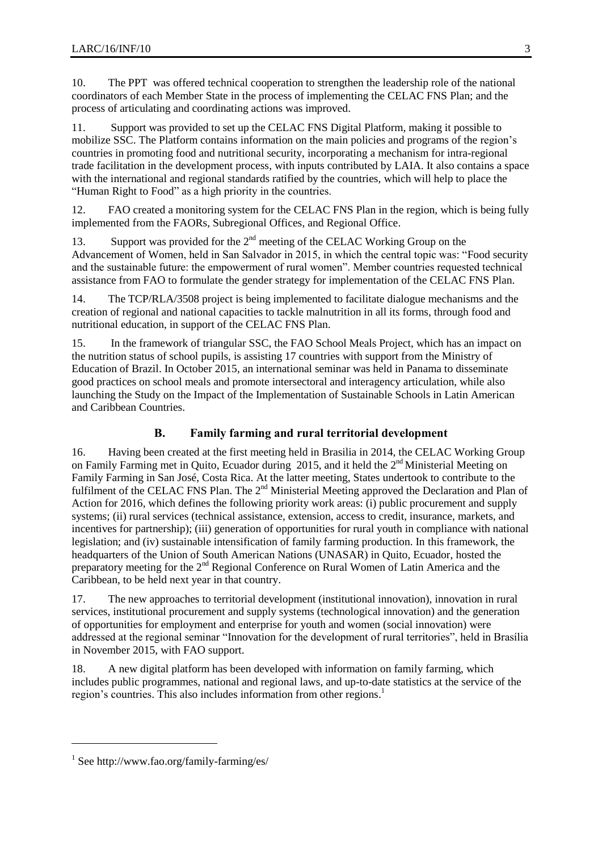10. The PPT was offered technical cooperation to strengthen the leadership role of the national coordinators of each Member State in the process of implementing the CELAC FNS Plan; and the process of articulating and coordinating actions was improved.

11. Support was provided to set up the CELAC FNS Digital Platform, making it possible to mobilize SSC. The Platform contains information on the main policies and programs of the region's countries in promoting food and nutritional security, incorporating a mechanism for intra-regional trade facilitation in the development process, with inputs contributed by LAIA. It also contains a space with the international and regional standards ratified by the countries, which will help to place the "Human Right to Food" as a high priority in the countries.

12. FAO created a monitoring system for the CELAC FNS Plan in the region, which is being fully implemented from the FAORs, Subregional Offices, and Regional Office.

13. Support was provided for the  $2<sup>nd</sup>$  meeting of the CELAC Working Group on the Advancement of Women, held in San Salvador in 2015, in which the central topic was: "Food security and the sustainable future: the empowerment of rural women". Member countries requested technical assistance from FAO to formulate the gender strategy for implementation of the CELAC FNS Plan.

14. The TCP/RLA/3508 project is being implemented to facilitate dialogue mechanisms and the creation of regional and national capacities to tackle malnutrition in all its forms, through food and nutritional education, in support of the CELAC FNS Plan.

15. In the framework of triangular SSC, the FAO School Meals Project, which has an impact on the nutrition status of school pupils, is assisting 17 countries with support from the Ministry of Education of Brazil. In October 2015, an international seminar was held in Panama to disseminate good practices on school meals and promote intersectoral and interagency articulation, while also launching the Study on the Impact of the Implementation of Sustainable Schools in Latin American and Caribbean Countries.

## **B. Family farming and rural territorial development**

16. Having been created at the first meeting held in Brasilia in 2014, the CELAC Working Group on Family Farming met in Quito, Ecuador during 2015, and it held the 2<sup>nd</sup> Ministerial Meeting on Family Farming in San José, Costa Rica. At the latter meeting, States undertook to contribute to the fulfilment of the CELAC FNS Plan. The  $2<sup>nd</sup>$  Ministerial Meeting approved the Declaration and Plan of Action for 2016, which defines the following priority work areas: (i) public procurement and supply systems; (ii) rural services (technical assistance, extension, access to credit, insurance, markets, and incentives for partnership); (iii) generation of opportunities for rural youth in compliance with national legislation; and (iv) sustainable intensification of family farming production. In this framework, the headquarters of the Union of South American Nations (UNASAR) in Quito, Ecuador, hosted the preparatory meeting for the 2<sup>nd</sup> Regional Conference on Rural Women of Latin America and the Caribbean, to be held next year in that country.

17. The new approaches to territorial development (institutional innovation), innovation in rural services, institutional procurement and supply systems (technological innovation) and the generation of opportunities for employment and enterprise for youth and women (social innovation) were addressed at the regional seminar "Innovation for the development of rural territories", held in Brasília in November 2015, with FAO support.

18. A new digital platform has been developed with information on family farming, which includes public programmes, national and regional laws, and up-to-date statistics at the service of the region's countries. This also includes information from other regions. 1

l

<sup>1</sup> See<http://www.fao.org/family-farming/es/>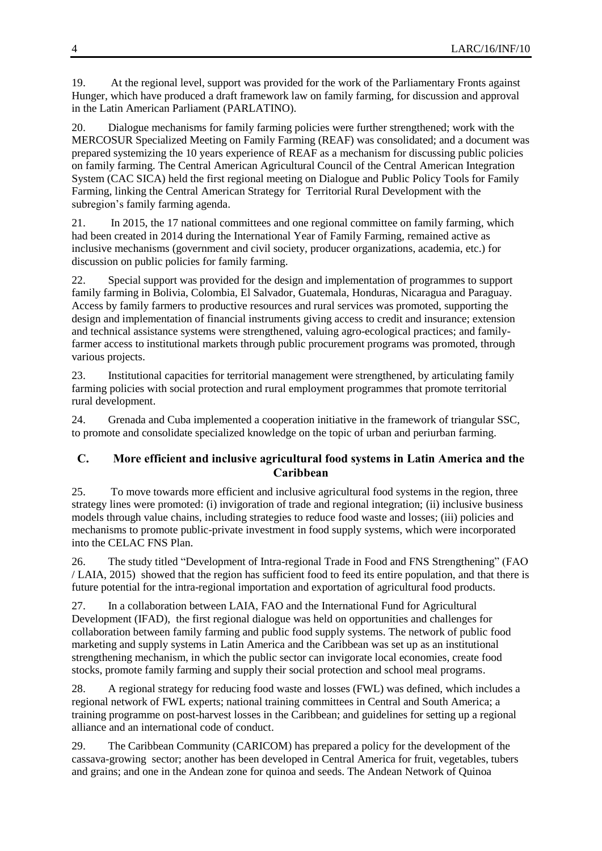19. At the regional level, support was provided for the work of the Parliamentary Fronts against Hunger, which have produced a draft framework law on family farming, for discussion and approval in the Latin American Parliament (PARLATINO).

20. Dialogue mechanisms for family farming policies were further strengthened; work with the MERCOSUR Specialized Meeting on Family Farming (REAF) was consolidated; and a document was prepared systemizing the 10 years experience of REAF as a mechanism for discussing public policies on family farming. The Central American Agricultural Council of the Central American Integration System (CAC SICA) held the first regional meeting on Dialogue and Public Policy Tools for Family Farming, linking the Central American Strategy for Territorial Rural Development with the subregion's family farming agenda.

21. In 2015, the 17 national committees and one regional committee on family farming, which had been created in 2014 during the International Year of Family Farming, remained active as inclusive mechanisms (government and civil society, producer organizations, academia, etc.) for discussion on public policies for family farming.

22. Special support was provided for the design and implementation of programmes to support family farming in Bolivia, Colombia, El Salvador, Guatemala, Honduras, Nicaragua and Paraguay. Access by family farmers to productive resources and rural services was promoted, supporting the design and implementation of financial instruments giving access to credit and insurance; extension and technical assistance systems were strengthened, valuing agro-ecological practices; and familyfarmer access to institutional markets through public procurement programs was promoted, through various projects.

23. Institutional capacities for territorial management were strengthened, by articulating family farming policies with social protection and rural employment programmes that promote territorial rural development.

24. Grenada and Cuba implemented a cooperation initiative in the framework of triangular SSC, to promote and consolidate specialized knowledge on the topic of urban and periurban farming.

#### **C. More efficient and inclusive agricultural food systems in Latin America and the Caribbean**

25. To move towards more efficient and inclusive agricultural food systems in the region, three strategy lines were promoted: (i) invigoration of trade and regional integration; (ii) inclusive business models through value chains, including strategies to reduce food waste and losses; (iii) policies and mechanisms to promote public-private investment in food supply systems, which were incorporated into the CELAC FNS Plan.

26. The study titled "Development of Intra-regional Trade in Food and FNS Strengthening" (FAO / LAIA, 2015) showed that the region has sufficient food to feed its entire population, and that there is future potential for the intra-regional importation and exportation of agricultural food products.

27. In a collaboration between LAIA, FAO and the International Fund for Agricultural Development (IFAD), the first regional dialogue was held on opportunities and challenges for collaboration between family farming and public food supply systems. The network of public food marketing and supply systems in Latin America and the Caribbean was set up as an institutional strengthening mechanism, in which the public sector can invigorate local economies, create food stocks, promote family farming and supply their social protection and school meal programs.

28. A regional strategy for reducing food waste and losses (FWL) was defined, which includes a regional network of FWL experts; national training committees in Central and South America; a training programme on post-harvest losses in the Caribbean; and guidelines for setting up a regional alliance and an international code of conduct.

29. The Caribbean Community (CARICOM) has prepared a policy for the development of the cassava-growing sector; another has been developed in Central America for fruit, vegetables, tubers and grains; and one in the Andean zone for quinoa and seeds. The Andean Network of Quinoa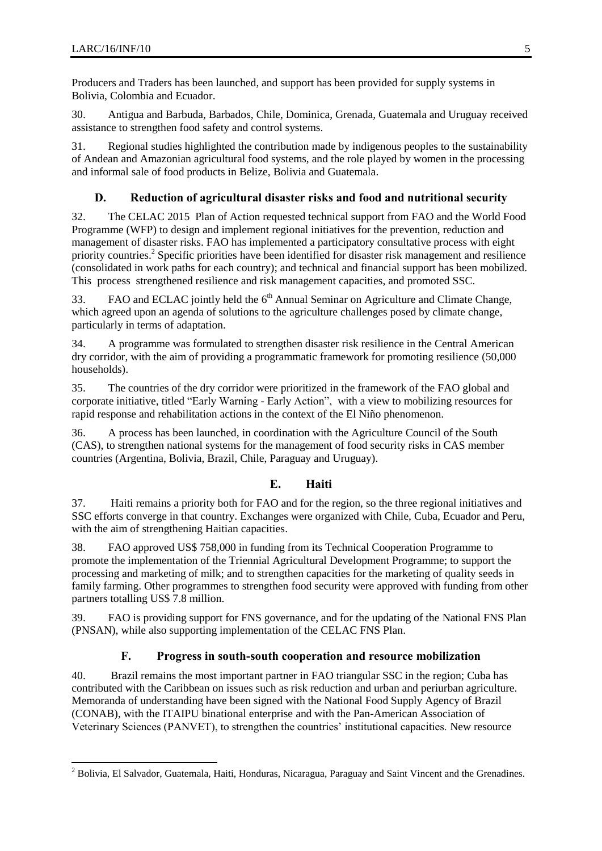$\overline{a}$ 

Producers and Traders has been launched, and support has been provided for supply systems in Bolivia, Colombia and Ecuador.

30. Antigua and Barbuda, Barbados, Chile, Dominica, Grenada, Guatemala and Uruguay received assistance to strengthen food safety and control systems.

31. Regional studies highlighted the contribution made by indigenous peoples to the sustainability of Andean and Amazonian agricultural food systems, and the role played by women in the processing and informal sale of food products in Belize, Bolivia and Guatemala.

#### **D. Reduction of agricultural disaster risks and food and nutritional security**

32. The CELAC 2015 Plan of Action requested technical support from FAO and the World Food Programme (WFP) to design and implement regional initiatives for the prevention, reduction and management of disaster risks. FAO has implemented a participatory consultative process with eight priority countries.<sup>2</sup> Specific priorities have been identified for disaster risk management and resilience (consolidated in work paths for each country); and technical and financial support has been mobilized. This process strengthened resilience and risk management capacities, and promoted SSC.

33. FAO and ECLAC jointly held the  $6<sup>th</sup>$  Annual Seminar on Agriculture and Climate Change, which agreed upon an agenda of solutions to the agriculture challenges posed by climate change, particularly in terms of adaptation.

34. A programme was formulated to strengthen disaster risk resilience in the Central American dry corridor, with the aim of providing a programmatic framework for promoting resilience (50,000 households).

35. The countries of the dry corridor were prioritized in the framework of the FAO global and corporate initiative, titled "Early Warning - Early Action", with a view to mobilizing resources for rapid response and rehabilitation actions in the context of the El Niño phenomenon.

36. A process has been launched, in coordination with the Agriculture Council of the South (CAS), to strengthen national systems for the management of food security risks in CAS member countries (Argentina, Bolivia, Brazil, Chile, Paraguay and Uruguay).

#### **E. Haiti**

37. Haiti remains a priority both for FAO and for the region, so the three regional initiatives and SSC efforts converge in that country. Exchanges were organized with Chile, Cuba, Ecuador and Peru, with the aim of strengthening Haitian capacities.

38. FAO approved US\$ 758,000 in funding from its Technical Cooperation Programme to promote the implementation of the Triennial Agricultural Development Programme; to support the processing and marketing of milk; and to strengthen capacities for the marketing of quality seeds in family farming. Other programmes to strengthen food security were approved with funding from other partners totalling US\$ 7.8 million.

39. FAO is providing support for FNS governance, and for the updating of the National FNS Plan (PNSAN), while also supporting implementation of the CELAC FNS Plan.

#### **F. Progress in south-south cooperation and resource mobilization**

40. Brazil remains the most important partner in FAO triangular SSC in the region; Cuba has contributed with the Caribbean on issues such as risk reduction and urban and periurban agriculture. Memoranda of understanding have been signed with the National Food Supply Agency of Brazil (CONAB), with the ITAIPU binational enterprise and with the Pan-American Association of Veterinary Sciences (PANVET), to strengthen the countries' institutional capacities. New resource

 $^{2}$  Bolivia, El Salvador, Guatemala, Haiti, Honduras, Nicaragua, Paraguay and Saint Vincent and the Grenadines.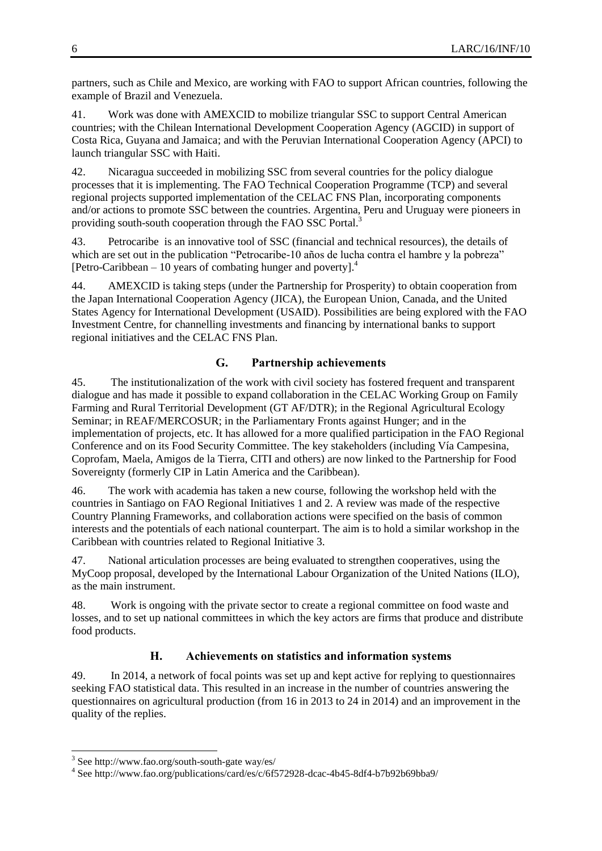partners, such as Chile and Mexico, are working with FAO to support African countries, following the example of Brazil and Venezuela.

41. Work was done with AMEXCID to mobilize triangular SSC to support Central American countries; with the Chilean International Development Cooperation Agency (AGCID) in support of Costa Rica, Guyana and Jamaica; and with the Peruvian International Cooperation Agency (APCI) to launch triangular SSC with Haiti.

42. Nicaragua succeeded in mobilizing SSC from several countries for the policy dialogue processes that it is implementing. The FAO Technical Cooperation Programme (TCP) and several regional projects supported implementation of the CELAC FNS Plan, incorporating components and/or actions to promote SSC between the countries. Argentina, Peru and Uruguay were pioneers in providing south-south cooperation through the FAO SSC Portal.<sup>3</sup>

43. Petrocaribe is an innovative tool of SSC (financial and technical resources), the details of which are set out in the publication "Petrocaribe-10 años de lucha contra el hambre y la pobreza" [Petro-Caribbean  $-10$  years of combating hunger and poverty].<sup>4</sup>

44. AMEXCID is taking steps (under the Partnership for Prosperity) to obtain cooperation from the Japan International Cooperation Agency (JICA), the European Union, Canada, and the United States Agency for International Development (USAID). Possibilities are being explored with the FAO Investment Centre, for channelling investments and financing by international banks to support regional initiatives and the CELAC FNS Plan.

#### **G. Partnership achievements**

45. The institutionalization of the work with civil society has fostered frequent and transparent dialogue and has made it possible to expand collaboration in the CELAC Working Group on Family Farming and Rural Territorial Development (GT AF/DTR); in the Regional Agricultural Ecology Seminar; in REAF/MERCOSUR; in the Parliamentary Fronts against Hunger; and in the implementation of projects, etc. It has allowed for a more qualified participation in the FAO Regional Conference and on its Food Security Committee. The key stakeholders (including Vía Campesina, Coprofam, Maela, Amigos de la Tierra, CITI and others) are now linked to the Partnership for Food Sovereignty (formerly CIP in Latin America and the Caribbean).

46. The work with academia has taken a new course, following the workshop held with the countries in Santiago on FAO Regional Initiatives 1 and 2. A review was made of the respective Country Planning Frameworks, and collaboration actions were specified on the basis of common interests and the potentials of each national counterpart. The aim is to hold a similar workshop in the Caribbean with countries related to Regional Initiative 3.

47. National articulation processes are being evaluated to strengthen cooperatives, using the MyCoop proposal, developed by the International Labour Organization of the United Nations (ILO), as the main instrument.

48. Work is ongoing with the private sector to create a regional committee on food waste and losses, and to set up national committees in which the key actors are firms that produce and distribute food products.

#### **H. Achievements on statistics and information systems**

49. In 2014, a network of focal points was set up and kept active for replying to questionnaires seeking FAO statistical data. This resulted in an increase in the number of countries answering the questionnaires on agricultural production (from 16 in 2013 to 24 in 2014) and an improvement in the quality of the replies.

l

<sup>3</sup> Se[e http://www.fao.org/south-south-gate way/es/](http://www.fao.org/south-south-gate%20way/es/) 

<sup>4</sup> Se[e http://www.fao.org/publications/card/es/c/6f572928-dcac-4b45-8df4-b7b92b69bba9/](http://www.fao.org/publications/card/es/c/6f572928-dcac-4b45-8df4-b7b92b69bba9/)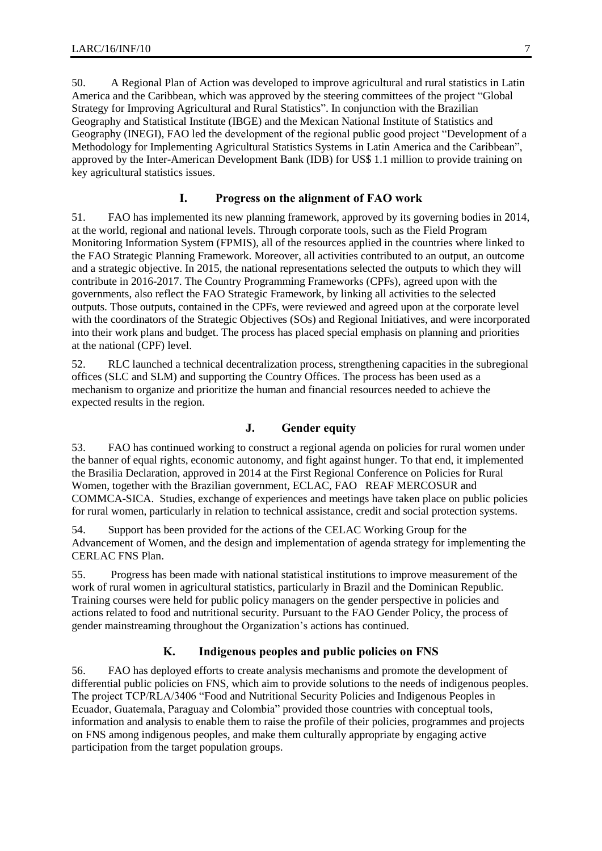50. A Regional Plan of Action was developed to improve agricultural and rural statistics in Latin America and the Caribbean, which was approved by the steering committees of the project "Global Strategy for Improving Agricultural and Rural Statistics". In conjunction with the Brazilian Geography and Statistical Institute (IBGE) and the Mexican National Institute of Statistics and Geography (INEGI), FAO led the development of the regional public good project "Development of a Methodology for Implementing Agricultural Statistics Systems in Latin America and the Caribbean", approved by the Inter-American Development Bank (IDB) for US\$ 1.1 million to provide training on key agricultural statistics issues.

#### **I. Progress on the alignment of FAO work**

51. FAO has implemented its new planning framework, approved by its governing bodies in 2014, at the world, regional and national levels. Through corporate tools, such as the Field Program Monitoring Information System (FPMIS), all of the resources applied in the countries where linked to the FAO Strategic Planning Framework. Moreover, all activities contributed to an output, an outcome and a strategic objective. In 2015, the national representations selected the outputs to which they will contribute in 2016-2017. The Country Programming Frameworks (CPFs), agreed upon with the governments, also reflect the FAO Strategic Framework, by linking all activities to the selected outputs. Those outputs, contained in the CPFs, were reviewed and agreed upon at the corporate level with the coordinators of the Strategic Objectives (SOs) and Regional Initiatives, and were incorporated into their work plans and budget. The process has placed special emphasis on planning and priorities at the national (CPF) level.

52. RLC launched a technical decentralization process, strengthening capacities in the subregional offices (SLC and SLM) and supporting the Country Offices. The process has been used as a mechanism to organize and prioritize the human and financial resources needed to achieve the expected results in the region.

#### **J. Gender equity**

53. FAO has continued working to construct a regional agenda on policies for rural women under the banner of equal rights, economic autonomy, and fight against hunger. To that end, it implemented the Brasilia Declaration, approved in 2014 at the First Regional Conference on Policies for Rural Women, together with the Brazilian government, ECLAC, FAO REAF MERCOSUR and COMMCA-SICA. Studies, exchange of experiences and meetings have taken place on public policies for rural women, particularly in relation to technical assistance, credit and social protection systems.

54. Support has been provided for the actions of the CELAC Working Group for the Advancement of Women, and the design and implementation of agenda strategy for implementing the CERLAC FNS Plan.

55. Progress has been made with national statistical institutions to improve measurement of the work of rural women in agricultural statistics, particularly in Brazil and the Dominican Republic. Training courses were held for public policy managers on the gender perspective in policies and actions related to food and nutritional security. Pursuant to the FAO Gender Policy, the process of gender mainstreaming throughout the Organization's actions has continued.

#### **K. Indigenous peoples and public policies on FNS**

56. FAO has deployed efforts to create analysis mechanisms and promote the development of differential public policies on FNS, which aim to provide solutions to the needs of indigenous peoples. The project TCP/RLA/3406 "Food and Nutritional Security Policies and Indigenous Peoples in Ecuador, Guatemala, Paraguay and Colombia" provided those countries with conceptual tools, information and analysis to enable them to raise the profile of their policies, programmes and projects on FNS among indigenous peoples, and make them culturally appropriate by engaging active participation from the target population groups.